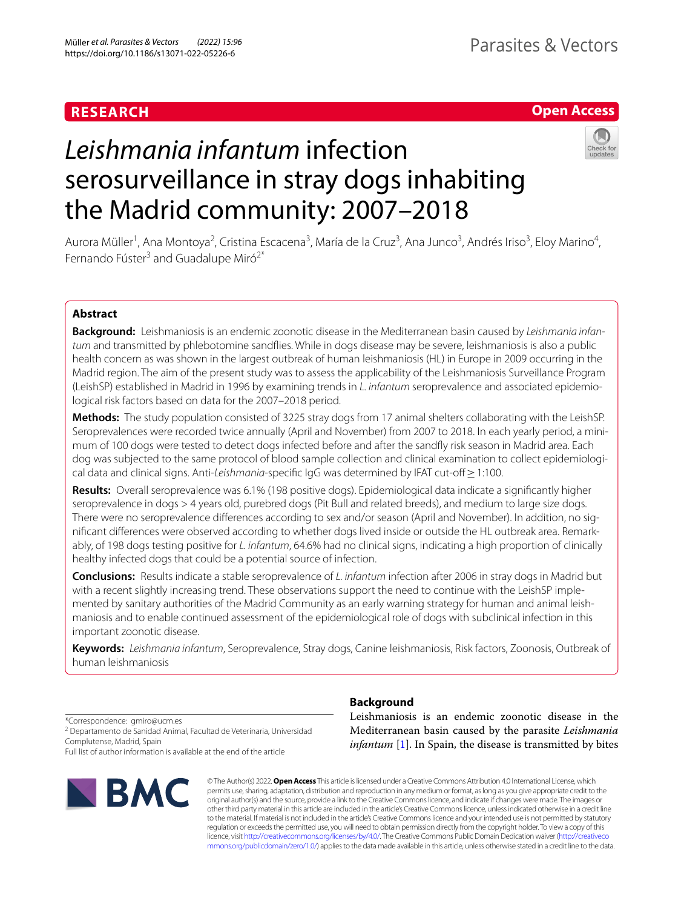# **RESEARCH**

# **Open Access**

# *Leishmania infantum* infection serosurveillance in stray dogs inhabiting the Madrid community: 2007–2018

Aurora Müller<sup>1</sup>, Ana Montoya<sup>2</sup>, Cristina Escacena<sup>3</sup>, María de la Cruz<sup>3</sup>, Ana Junco<sup>3</sup>, Andrés Iriso<sup>3</sup>, Eloy Marino<sup>4</sup>, Fernando Fúster<sup>3</sup> and Guadalupe Miró<sup>2\*</sup>

# **Abstract**

**Background:** Leishmaniosis is an endemic zoonotic disease in the Mediterranean basin caused by *Leishmania infantum* and transmitted by phlebotomine sandfies. While in dogs disease may be severe, leishmaniosis is also a public health concern as was shown in the largest outbreak of human leishmaniosis (HL) in Europe in 2009 occurring in the Madrid region. The aim of the present study was to assess the applicability of the Leishmaniosis Surveillance Program (LeishSP) established in Madrid in 1996 by examining trends in *L. infantum* seroprevalence and associated epidemiological risk factors based on data for the 2007–2018 period.

**Methods:** The study population consisted of 3225 stray dogs from 17 animal shelters collaborating with the LeishSP. Seroprevalences were recorded twice annually (April and November) from 2007 to 2018. In each yearly period, a minimum of 100 dogs were tested to detect dogs infected before and after the sandfy risk season in Madrid area. Each dog was subjected to the same protocol of blood sample collection and clinical examination to collect epidemiological data and clinical signs. Anti-*Leishmania*-specifc IgG was determined by IFAT cut-of≥1:100.

**Results:** Overall seroprevalence was 6.1% (198 positive dogs). Epidemiological data indicate a signifcantly higher seroprevalence in dogs > 4 years old, purebred dogs (Pit Bull and related breeds), and medium to large size dogs. There were no seroprevalence diferences according to sex and/or season (April and November). In addition, no signifcant diferences were observed according to whether dogs lived inside or outside the HL outbreak area. Remarkably, of 198 dogs testing positive for *L. infantum*, 64.6% had no clinical signs, indicating a high proportion of clinically healthy infected dogs that could be a potential source of infection.

**Conclusions:** Results indicate a stable seroprevalence of *L. infantum* infection after 2006 in stray dogs in Madrid but with a recent slightly increasing trend. These observations support the need to continue with the LeishSP implemented by sanitary authorities of the Madrid Community as an early warning strategy for human and animal leishmaniosis and to enable continued assessment of the epidemiological role of dogs with subclinical infection in this important zoonotic disease.

**Keywords:** *Leishmania infantum*, Seroprevalence, Stray dogs, Canine leishmaniosis, Risk factors, Zoonosis, Outbreak of human leishmaniosis

\*Correspondence: gmiro@ucm.es

<sup>2</sup> Departamento de Sanidad Animal, Facultad de Veterinaria, Universidad Complutense, Madrid, Spain

Full list of author information is available at the end of the article



# **Background**

Leishmaniosis is an endemic zoonotic disease in the Mediterranean basin caused by the parasite *Leishmania infantum* [\[1](#page-5-0)]. In Spain, the disease is transmitted by bites

© The Author(s) 2022. **Open Access** This article is licensed under a Creative Commons Attribution 4.0 International License, which permits use, sharing, adaptation, distribution and reproduction in any medium or format, as long as you give appropriate credit to the original author(s) and the source, provide a link to the Creative Commons licence, and indicate if changes were made. The images or other third party material in this article are included in the article's Creative Commons licence, unless indicated otherwise in a credit line to the material. If material is not included in the article's Creative Commons licence and your intended use is not permitted by statutory regulation or exceeds the permitted use, you will need to obtain permission directly from the copyright holder. To view a copy of this licence, visit [http://creativecommons.org/licenses/by/4.0/.](http://creativecommons.org/licenses/by/4.0/) The Creative Commons Public Domain Dedication waiver ([http://creativeco](http://creativecommons.org/publicdomain/zero/1.0/) [mmons.org/publicdomain/zero/1.0/](http://creativecommons.org/publicdomain/zero/1.0/)) applies to the data made available in this article, unless otherwise stated in a credit line to the data.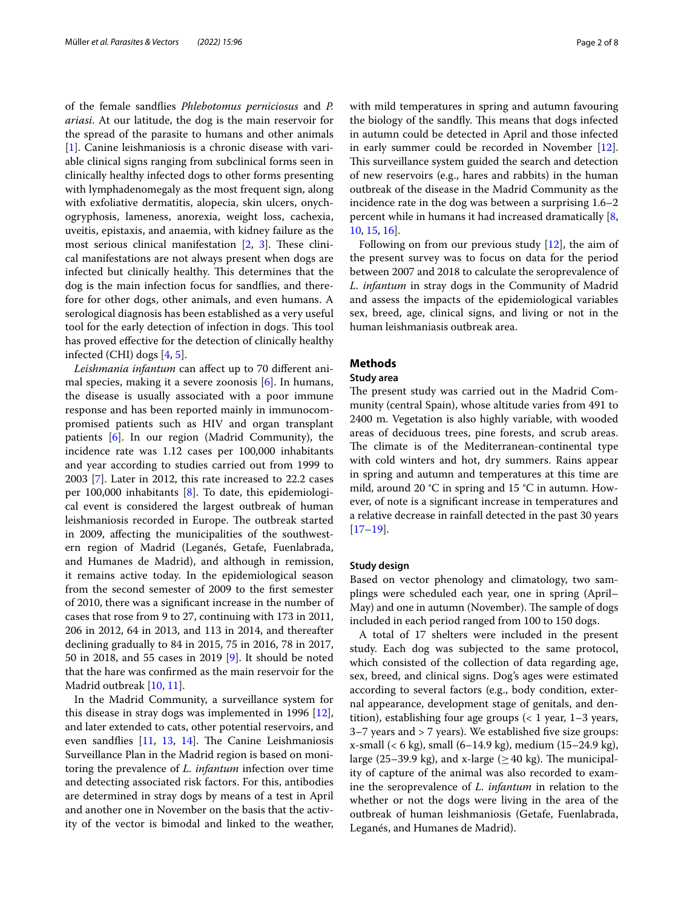of the female sandfies *Phlebotomus perniciosus* and *P. ariasi*. At our latitude, the dog is the main reservoir for the spread of the parasite to humans and other animals [[1\]](#page-5-0). Canine leishmaniosis is a chronic disease with variable clinical signs ranging from subclinical forms seen in clinically healthy infected dogs to other forms presenting with lymphadenomegaly as the most frequent sign, along with exfoliative dermatitis, alopecia, skin ulcers, onychogryphosis, lameness, anorexia, weight loss, cachexia, uveitis, epistaxis, and anaemia, with kidney failure as the most serious clinical manifestation  $[2, 3]$  $[2, 3]$  $[2, 3]$  $[2, 3]$ . These clinical manifestations are not always present when dogs are infected but clinically healthy. This determines that the dog is the main infection focus for sandfies, and therefore for other dogs, other animals, and even humans. A serological diagnosis has been established as a very useful tool for the early detection of infection in dogs. This tool has proved efective for the detection of clinically healthy infected (CHI) dogs [\[4](#page-5-3), [5\]](#page-6-0).

*Leishmania infantum* can afect up to 70 diferent animal species, making it a severe zoonosis [\[6](#page-6-1)]. In humans, the disease is usually associated with a poor immune response and has been reported mainly in immunocompromised patients such as HIV and organ transplant patients [[6\]](#page-6-1). In our region (Madrid Community), the incidence rate was 1.12 cases per 100,000 inhabitants and year according to studies carried out from 1999 to 2003 [[7\]](#page-6-2). Later in 2012, this rate increased to 22.2 cases per 100,000 inhabitants [[8\]](#page-6-3). To date, this epidemiological event is considered the largest outbreak of human leishmaniosis recorded in Europe. The outbreak started in 2009, afecting the municipalities of the southwestern region of Madrid (Leganés, Getafe, Fuenlabrada, and Humanes de Madrid), and although in remission, it remains active today. In the epidemiological season from the second semester of 2009 to the frst semester of 2010, there was a signifcant increase in the number of cases that rose from 9 to 27, continuing with 173 in 2011, 206 in 2012, 64 in 2013, and 113 in 2014, and thereafter declining gradually to 84 in 2015, 75 in 2016, 78 in 2017, 50 in 2018, and 55 cases in 2019 [[9\]](#page-6-4). It should be noted that the hare was confrmed as the main reservoir for the Madrid outbreak [\[10](#page-6-5), [11\]](#page-6-6).

In the Madrid Community, a surveillance system for this disease in stray dogs was implemented in 1996 [\[12](#page-6-7)], and later extended to cats, other potential reservoirs, and even sandflies  $[11, 13, 14]$  $[11, 13, 14]$  $[11, 13, 14]$  $[11, 13, 14]$  $[11, 13, 14]$ . The Canine Leishmaniosis Surveillance Plan in the Madrid region is based on monitoring the prevalence of *L. infantum* infection over time and detecting associated risk factors. For this, antibodies are determined in stray dogs by means of a test in April and another one in November on the basis that the activity of the vector is bimodal and linked to the weather, with mild temperatures in spring and autumn favouring the biology of the sandfly. This means that dogs infected in autumn could be detected in April and those infected in early summer could be recorded in November [\[12](#page-6-7)]. This surveillance system guided the search and detection of new reservoirs (e.g., hares and rabbits) in the human outbreak of the disease in the Madrid Community as the incidence rate in the dog was between a surprising 1.6–2 percent while in humans it had increased dramatically [\[8](#page-6-3), [10,](#page-6-5) [15,](#page-6-10) [16](#page-6-11)].

Following on from our previous study [\[12](#page-6-7)], the aim of the present survey was to focus on data for the period between 2007 and 2018 to calculate the seroprevalence of *L. infantum* in stray dogs in the Community of Madrid and assess the impacts of the epidemiological variables sex, breed, age, clinical signs, and living or not in the human leishmaniasis outbreak area.

## **Methods**

#### **Study area**

The present study was carried out in the Madrid Community (central Spain), whose altitude varies from 491 to 2400 m. Vegetation is also highly variable, with wooded areas of deciduous trees, pine forests, and scrub areas. The climate is of the Mediterranean-continental type with cold winters and hot, dry summers. Rains appear in spring and autumn and temperatures at this time are mild, around 20 °C in spring and 15 °C in autumn. However, of note is a signifcant increase in temperatures and a relative decrease in rainfall detected in the past 30 years  $[17–19]$  $[17–19]$  $[17–19]$ .

#### **Study design**

Based on vector phenology and climatology, two samplings were scheduled each year, one in spring (April– May) and one in autumn (November). The sample of dogs included in each period ranged from 100 to 150 dogs.

A total of 17 shelters were included in the present study. Each dog was subjected to the same protocol, which consisted of the collection of data regarding age, sex, breed, and clinical signs. Dog's ages were estimated according to several factors (e.g., body condition, external appearance, development stage of genitals, and dentition), establishing four age groups  $\left($  < 1 year, 1–3 years, 3–7 years and > 7 years). We established fve size groups: x-small (< 6 kg), small (6–14.9 kg), medium (15–24.9 kg), large (25–39.9 kg), and x-large ( $\geq$  40 kg). The municipality of capture of the animal was also recorded to examine the seroprevalence of *L. infantum* in relation to the whether or not the dogs were living in the area of the outbreak of human leishmaniosis (Getafe, Fuenlabrada, Leganés, and Humanes de Madrid).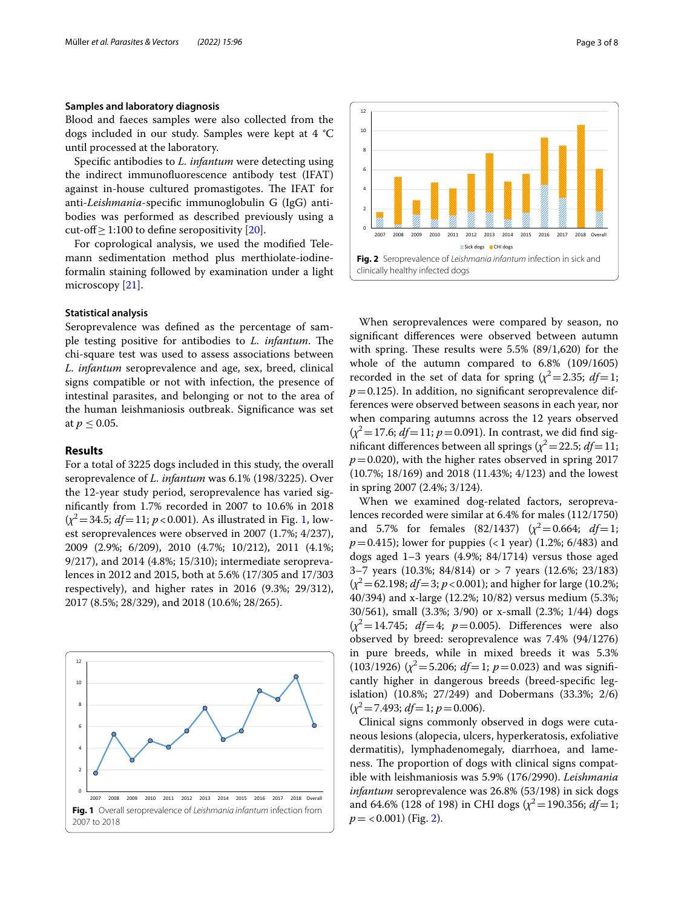#### **Samples and laboratory diagnosis**

Blood and faeces samples were also collected from the dogs included in our study. Samples were kept at 4 °C until processed at the laboratory.

Specifc antibodies to *L. infantum* were detecting using the indirect immunofuorescence antibody test (IFAT) against in-house cultured promastigotes. The IFAT for anti-*Leishmania*-specifc immunoglobulin G (IgG) antibodies was performed as described previously using a cut-of≥1:100 to defne seropositivity [[20](#page-6-14)].

For coprological analysis, we used the modifed Telemann sedimentation method plus merthiolate-iodineformalin staining followed by examination under a light microscopy [[21](#page-6-15)].

#### **Statistical analysis**

Seroprevalence was defned as the percentage of sample testing positive for antibodies to *L. infantum*. The chi-square test was used to assess associations between *L. infantum* seroprevalence and age, sex, breed, clinical signs compatible or not with infection, the presence of intestinal parasites, and belonging or not to the area of the human leishmaniosis outbreak. Signifcance was set at  $p \le 0.05$ .

#### **Results**

For a total of 3225 dogs included in this study, the overall seroprevalence of *L. infantum* was 6.1% (198/3225). Over the 12-year study period, seroprevalence has varied signifcantly from 1.7% recorded in 2007 to 10.6% in 2018  $(x^2 = 34.5; df = 11; p < 0.001)$  $(x^2 = 34.5; df = 11; p < 0.001)$  $(x^2 = 34.5; df = 11; p < 0.001)$ . As illustrated in Fig. 1, lowest seroprevalences were observed in 2007 (1.7%; 4/237), 2009 (2.9%; 6/209), 2010 (4.7%; 10/212), 2011 (4.1%; 9/217), and 2014 (4.8%; 15/310); intermediate seroprevalences in 2012 and 2015, both at 5.6% (17/305 and 17/303 respectively), and higher rates in 2016 (9.3%; 29/312), 2017 (8.5%; 28/329), and 2018 (10.6%; 28/265).

<span id="page-2-0"></span>



<span id="page-2-1"></span>When seroprevalences were compared by season, no signifcant diferences were observed between autumn with spring. These results were  $5.5\%$  (89/1,620) for the whole of the autumn compared to 6.8% (109/1605) recorded in the set of data for spring  $(\chi^2 = 2.35; df = 1;$  $p=0.125$ ). In addition, no significant seroprevalence differences were observed between seasons in each year, nor when comparing autumns across the 12 years observed  $(x^2 = 17.6; df = 11; p = 0.091)$ . In contrast, we did find significant differences between all springs ( $\chi^2$  = 22.5; *df* = 11;  $p=0.020$ , with the higher rates observed in spring 2017 (10.7%; 18/169) and 2018 (11.43%; 4/123) and the lowest in spring 2007 (2.4%; 3/124).

When we examined dog-related factors, seroprevalences recorded were similar at 6.4% for males (112/1750) and 5.7% for females  $(82/1437)$   $(\chi^2 = 0.664; df = 1;$  $p=0.415$ ); lower for puppies (<1 year) (1.2%; 6/483) and dogs aged 1–3 years (4.9%; 84/1714) versus those aged 3–7 years (10.3%; 84/814) or > 7 years (12.6%; 23/183)  $(x^2=62.198; df=3; p<0.001)$ ; and higher for large (10.2%; 40/394) and x-large (12.2%; 10/82) versus medium (5.3%; 30/561), small (3.3%; 3/90) or x-small (2.3%; 1/44) dogs  $(x^2 = 14.745; df = 4; p = 0.005)$ . Differences were also observed by breed: seroprevalence was 7.4% (94/1276) in pure breeds, while in mixed breeds it was 5.3%  $(103/1926)$   $(\chi^2 = 5.206; df = 1; p = 0.023)$  and was significantly higher in dangerous breeds (breed-specifc legislation) (10.8%; 27/249) and Dobermans (33.3%; 2/6)  $(x^2 = 7.493; df = 1; p = 0.006).$ 

Clinical signs commonly observed in dogs were cutaneous lesions (alopecia, ulcers, hyperkeratosis, exfoliative dermatitis), lymphadenomegaly, diarrhoea, and lameness. The proportion of dogs with clinical signs compatible with leishmaniosis was 5.9% (176/2990). *Leishmania infantum* seroprevalence was 26.8% (53/198) in sick dogs and 64.6% (128 of 198) in CHI dogs ( $\chi^2$  = 190.356; *df* = 1;  $p = <0.001$ ) (Fig. [2](#page-2-1)).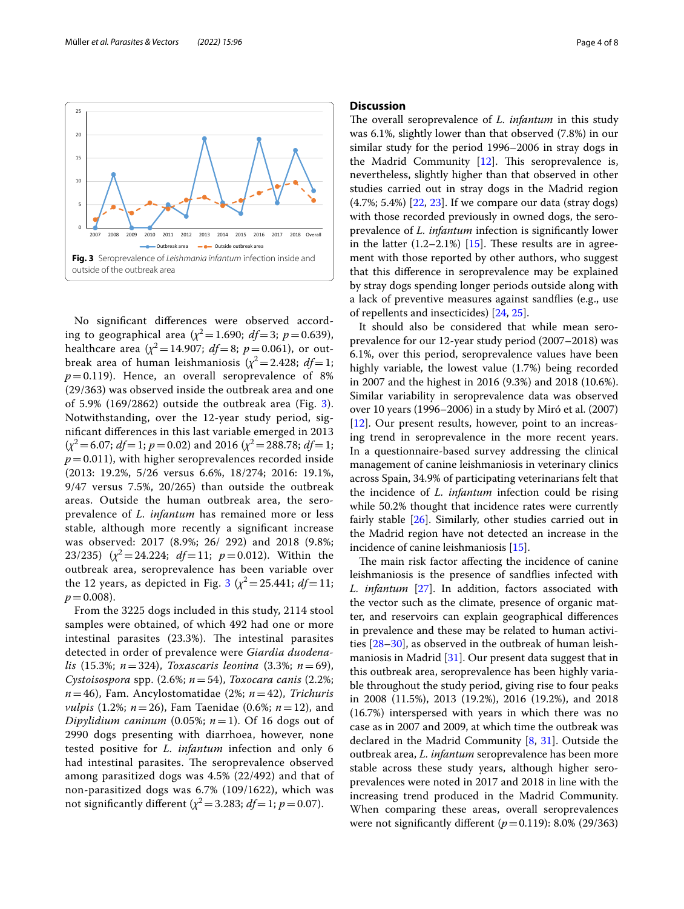



<span id="page-3-0"></span>No signifcant diferences were observed according to geographical area ( $\chi^2$  = 1.690; *df* = 3; *p* = 0.639), healthcare area  $(\chi^2 = 14.907; df = 8; p = 0.061)$ , or outbreak area of human leishmaniosis  $(\chi^2 = 2.428; df = 1;$  $p=0.119$ ). Hence, an overall seroprevalence of 8% (29/363) was observed inside the outbreak area and one of 5.9% (169/2862) outside the outbreak area (Fig. [3\)](#page-3-0). Notwithstanding, over the 12-year study period, signifcant diferences in this last variable emerged in 2013  $(x^2 = 6.07; df = 1; p = 0.02)$  and 2016  $(x^2 = 288.78; df = 1;$  $p=0.011$ ), with higher seroprevalences recorded inside (2013: 19.2%, 5/26 versus 6.6%, 18/274; 2016: 19.1%, 9/47 versus 7.5%, 20/265) than outside the outbreak areas. Outside the human outbreak area, the seroprevalence of *L. infantum* has remained more or less stable, although more recently a signifcant increase was observed: 2017 (8.9%; 26/ 292) and 2018 (9.8%; 23/235)  $(x^2 = 24.224; df = 11; p = 0.012)$ . Within the outbreak area, seroprevalence has been variable over the 12 years, as depicted in Fig.  $3 (x^2 = 25.441; df = 11;$  $3 (x^2 = 25.441; df = 11;$  $p=0.008$ ).

From the 3225 dogs included in this study, 2114 stool samples were obtained, of which 492 had one or more intestinal parasites  $(23.3%)$ . The intestinal parasites detected in order of prevalence were *Giardia duodenalis* (15.3%; *n*=324), *Toxascaris leonina* (3.3%; *n*=69), *Cystoisospora* spp. (2.6%; *n*=54), *Toxocara canis* (2.2%; *n*=46), Fam. Ancylostomatidae (2%; *n*=42), *Trichuris vulpis* (1.2%; *n*=26), Fam Taenidae (0.6%; *n*=12), and *Dipylidium caninum* (0.05%;  $n = 1$ ). Of 16 dogs out of 2990 dogs presenting with diarrhoea, however, none tested positive for *L. infantum* infection and only 6 had intestinal parasites. The seroprevalence observed among parasitized dogs was 4.5% (22/492) and that of non-parasitized dogs was 6.7% (109/1622), which was not significantly different  $(\chi^2 = 3.283; df = 1; p = 0.07)$ .

### **Discussion**

The overall seroprevalence of *L. infantum* in this study was 6.1%, slightly lower than that observed (7.8%) in our similar study for the period 1996–2006 in stray dogs in the Madrid Community  $[12]$  $[12]$ . This seroprevalence is, nevertheless, slightly higher than that observed in other studies carried out in stray dogs in the Madrid region (4.7%; 5.4%) [[22,](#page-6-16) [23](#page-6-17)]. If we compare our data (stray dogs) with those recorded previously in owned dogs, the seroprevalence of *L. infantum* infection is signifcantly lower in the latter  $(1.2-2.1\%)$  [\[15](#page-6-10)]. These results are in agreement with those reported by other authors, who suggest that this diference in seroprevalence may be explained by stray dogs spending longer periods outside along with a lack of preventive measures against sandfies (e.g., use of repellents and insecticides) [\[24](#page-6-18), [25\]](#page-6-19).

It should also be considered that while mean seroprevalence for our 12-year study period (2007–2018) was 6.1%, over this period, seroprevalence values have been highly variable, the lowest value (1.7%) being recorded in 2007 and the highest in 2016 (9.3%) and 2018 (10.6%). Similar variability in seroprevalence data was observed over 10 years (1996–2006) in a study by Miró et al. (2007) [[12\]](#page-6-7). Our present results, however, point to an increasing trend in seroprevalence in the more recent years. In a questionnaire-based survey addressing the clinical management of canine leishmaniosis in veterinary clinics across Spain, 34.9% of participating veterinarians felt that the incidence of *L. infantum* infection could be rising while 50.2% thought that incidence rates were currently fairly stable [\[26](#page-6-20)]. Similarly, other studies carried out in the Madrid region have not detected an increase in the incidence of canine leishmaniosis [\[15](#page-6-10)].

The main risk factor affecting the incidence of canine leishmaniosis is the presence of sandfies infected with *L. infantum* [[27\]](#page-6-21). In addition, factors associated with the vector such as the climate, presence of organic matter, and reservoirs can explain geographical diferences in prevalence and these may be related to human activities [[28–](#page-6-22)[30](#page-6-23)], as observed in the outbreak of human leishmaniosis in Madrid [[31\]](#page-6-24). Our present data suggest that in this outbreak area, seroprevalence has been highly variable throughout the study period, giving rise to four peaks in 2008 (11.5%), 2013 (19.2%), 2016 (19.2%), and 2018 (16.7%) interspersed with years in which there was no case as in 2007 and 2009, at which time the outbreak was declared in the Madrid Community [[8](#page-6-3), [31\]](#page-6-24). Outside the outbreak area, *L. infantum* seroprevalence has been more stable across these study years, although higher seroprevalences were noted in 2017 and 2018 in line with the increasing trend produced in the Madrid Community. When comparing these areas, overall seroprevalences were not significantly different  $(p=0.119)$ : 8.0% (29/363)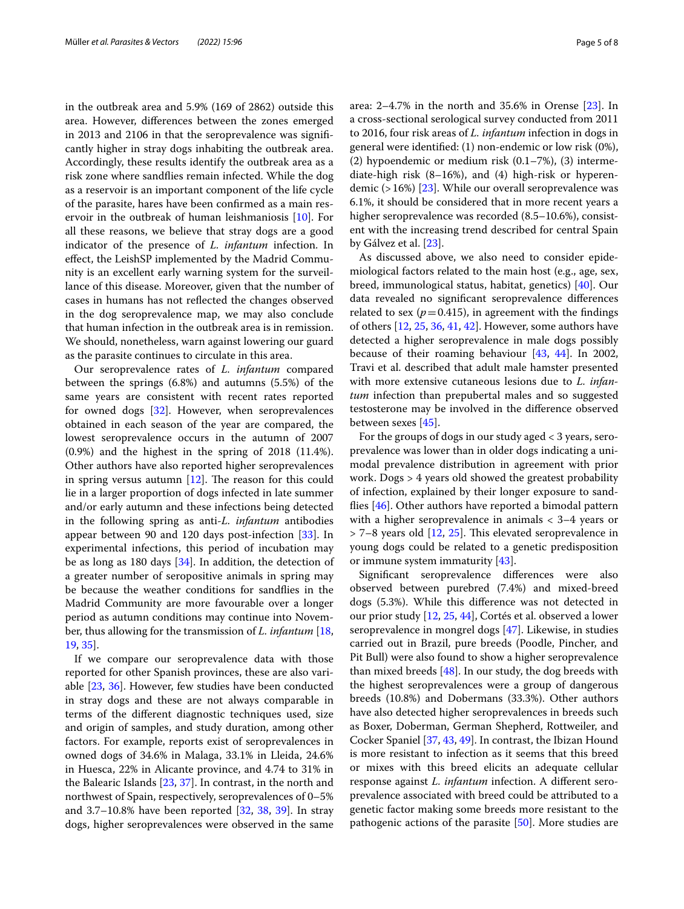in the outbreak area and 5.9% (169 of 2862) outside this area. However, diferences between the zones emerged in 2013 and 2106 in that the seroprevalence was signifcantly higher in stray dogs inhabiting the outbreak area. Accordingly, these results identify the outbreak area as a risk zone where sandfies remain infected. While the dog as a reservoir is an important component of the life cycle of the parasite, hares have been confrmed as a main reservoir in the outbreak of human leishmaniosis [\[10\]](#page-6-5). For all these reasons, we believe that stray dogs are a good indicator of the presence of *L. infantum* infection. In efect, the LeishSP implemented by the Madrid Community is an excellent early warning system for the surveillance of this disease. Moreover, given that the number of cases in humans has not refected the changes observed in the dog seroprevalence map, we may also conclude that human infection in the outbreak area is in remission. We should, nonetheless, warn against lowering our guard as the parasite continues to circulate in this area.

Our seroprevalence rates of *L. infantum* compared between the springs (6.8%) and autumns (5.5%) of the same years are consistent with recent rates reported for owned dogs [[32\]](#page-6-25). However, when seroprevalences obtained in each season of the year are compared, the lowest seroprevalence occurs in the autumn of 2007 (0.9%) and the highest in the spring of 2018 (11.4%). Other authors have also reported higher seroprevalences in spring versus autumn  $[12]$  $[12]$ . The reason for this could lie in a larger proportion of dogs infected in late summer and/or early autumn and these infections being detected in the following spring as anti-*L. infantum* antibodies appear between 90 and 120 days post-infection [[33\]](#page-6-26). In experimental infections, this period of incubation may be as long as 180 days [\[34](#page-6-27)]. In addition, the detection of a greater number of seropositive animals in spring may be because the weather conditions for sandfies in the Madrid Community are more favourable over a longer period as autumn conditions may continue into November, thus allowing for the transmission of *L. infantum* [\[18](#page-6-28), [19,](#page-6-13) [35\]](#page-6-29).

If we compare our seroprevalence data with those reported for other Spanish provinces, these are also variable [\[23](#page-6-17), [36](#page-6-30)]. However, few studies have been conducted in stray dogs and these are not always comparable in terms of the diferent diagnostic techniques used, size and origin of samples, and study duration, among other factors. For example, reports exist of seroprevalences in owned dogs of 34.6% in Malaga, 33.1% in Lleida, 24.6% in Huesca, 22% in Alicante province, and 4.74 to 31% in the Balearic Islands [[23,](#page-6-17) [37](#page-6-31)]. In contrast, in the north and northwest of Spain, respectively, seroprevalences of 0–5% and  $3.7-10.8\%$  have been reported  $[32, 38, 39]$  $[32, 38, 39]$  $[32, 38, 39]$  $[32, 38, 39]$  $[32, 38, 39]$  $[32, 38, 39]$ . In stray dogs, higher seroprevalences were observed in the same area: 2–4.7% in the north and 35.6% in Orense [[23\]](#page-6-17). In a cross-sectional serological survey conducted from 2011 to 2016, four risk areas of *L. infantum* infection in dogs in general were identifed: (1) non-endemic or low risk (0%), (2) hypoendemic or medium risk (0.1–7%), (3) intermediate-high risk (8–16%), and (4) high-risk or hyperendemic  $(>16\%)$  [[23](#page-6-17)]. While our overall seroprevalence was 6.1%, it should be considered that in more recent years a higher seroprevalence was recorded (8.5–10.6%), consistent with the increasing trend described for central Spain by Gálvez et al. [[23](#page-6-17)].

As discussed above, we also need to consider epidemiological factors related to the main host (e.g., age, sex, breed, immunological status, habitat, genetics) [[40](#page-6-34)]. Our data revealed no signifcant seroprevalence diferences related to sex ( $p = 0.415$ ), in agreement with the findings of others [\[12](#page-6-7), [25,](#page-6-19) [36](#page-6-30), [41](#page-6-35), [42\]](#page-6-36). However, some authors have detected a higher seroprevalence in male dogs possibly because of their roaming behaviour [[43](#page-6-37), [44](#page-6-38)]. In 2002, Travi et al. described that adult male hamster presented with more extensive cutaneous lesions due to *L. infantum* infection than prepubertal males and so suggested testosterone may be involved in the diference observed between sexes [\[45](#page-6-39)].

For the groups of dogs in our study aged < 3 years, seroprevalence was lower than in older dogs indicating a unimodal prevalence distribution in agreement with prior work. Dogs > 4 years old showed the greatest probability of infection, explained by their longer exposure to sandfies [[46\]](#page-6-40). Other authors have reported a bimodal pattern with a higher seroprevalence in animals < 3–4 years or  $>$  7–8 years old [\[12](#page-6-7), [25](#page-6-19)]. This elevated seroprevalence in young dogs could be related to a genetic predisposition or immune system immaturity [[43](#page-6-37)].

Signifcant seroprevalence diferences were also observed between purebred (7.4%) and mixed-breed dogs (5.3%). While this diference was not detected in our prior study [[12,](#page-6-7) [25](#page-6-19), [44](#page-6-38)], Cortés et al. observed a lower seroprevalence in mongrel dogs [[47\]](#page-7-0). Likewise, in studies carried out in Brazil, pure breeds (Poodle, Pincher, and Pit Bull) were also found to show a higher seroprevalence than mixed breeds  $[48]$  $[48]$ . In our study, the dog breeds with the highest seroprevalences were a group of dangerous breeds (10.8%) and Dobermans (33.3%). Other authors have also detected higher seroprevalences in breeds such as Boxer, Doberman, German Shepherd, Rottweiler, and Cocker Spaniel [[37](#page-6-31), [43,](#page-6-37) [49\]](#page-7-2). In contrast, the Ibizan Hound is more resistant to infection as it seems that this breed or mixes with this breed elicits an adequate cellular response against *L. infantum* infection. A diferent seroprevalence associated with breed could be attributed to a genetic factor making some breeds more resistant to the pathogenic actions of the parasite [[50\]](#page-7-3). More studies are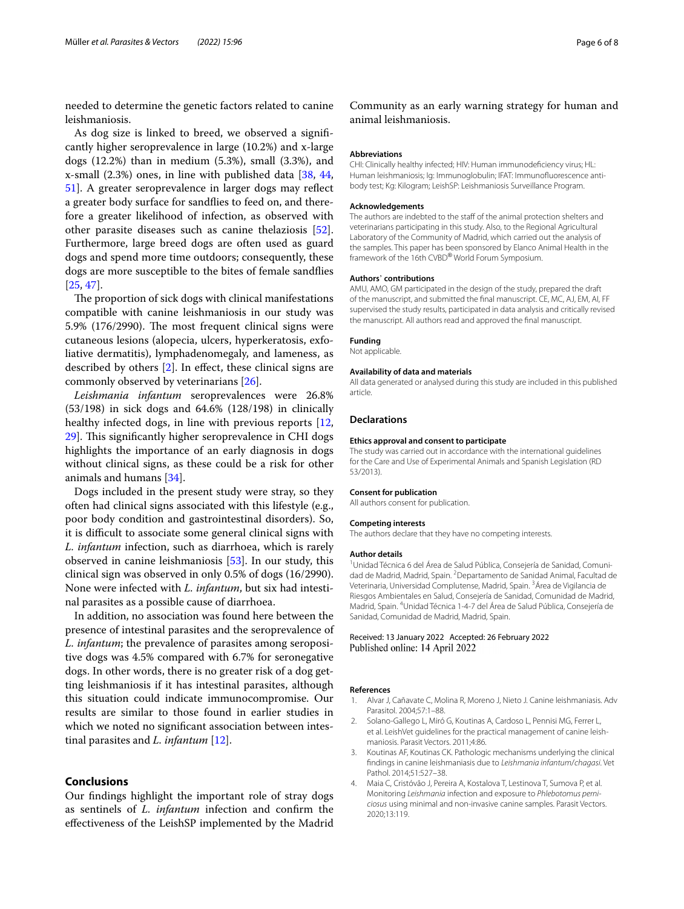needed to determine the genetic factors related to canine leishmaniosis.

As dog size is linked to breed, we observed a signifcantly higher seroprevalence in large (10.2%) and x-large dogs (12.2%) than in medium (5.3%), small (3.3%), and x-small (2.3%) ones, in line with published data [[38,](#page-6-32) [44](#page-6-38), [51\]](#page-7-4). A greater seroprevalence in larger dogs may refect a greater body surface for sandfies to feed on, and therefore a greater likelihood of infection, as observed with other parasite diseases such as canine thelaziosis [\[52](#page-7-5)]. Furthermore, large breed dogs are often used as guard dogs and spend more time outdoors; consequently, these dogs are more susceptible to the bites of female sandfies [[25,](#page-6-19) [47](#page-7-0)].

The proportion of sick dogs with clinical manifestations compatible with canine leishmaniosis in our study was 5.9% (176/2990). The most frequent clinical signs were cutaneous lesions (alopecia, ulcers, hyperkeratosis, exfoliative dermatitis), lymphadenomegaly, and lameness, as described by others [\[2](#page-5-1)]. In efect, these clinical signs are commonly observed by veterinarians [[26\]](#page-6-20).

*Leishmania infantum* seroprevalences were 26.8% (53/198) in sick dogs and 64.6% (128/198) in clinically healthy infected dogs, in line with previous reports [\[12](#page-6-7), [29\]](#page-6-41). This significantly higher seroprevalence in CHI dogs highlights the importance of an early diagnosis in dogs without clinical signs, as these could be a risk for other animals and humans [\[34](#page-6-27)].

Dogs included in the present study were stray, so they often had clinical signs associated with this lifestyle (e.g., poor body condition and gastrointestinal disorders). So, it is difficult to associate some general clinical signs with *L. infantum* infection, such as diarrhoea, which is rarely observed in canine leishmaniosis [\[53](#page-7-6)]. In our study, this clinical sign was observed in only 0.5% of dogs (16/2990). None were infected with *L. infantum*, but six had intestinal parasites as a possible cause of diarrhoea.

In addition, no association was found here between the presence of intestinal parasites and the seroprevalence of *L. infantum*; the prevalence of parasites among seropositive dogs was 4.5% compared with 6.7% for seronegative dogs. In other words, there is no greater risk of a dog getting leishmaniosis if it has intestinal parasites, although this situation could indicate immunocompromise. Our results are similar to those found in earlier studies in which we noted no signifcant association between intestinal parasites and *L. infantum* [[12\]](#page-6-7).

### **Conclusions**

Our fndings highlight the important role of stray dogs as sentinels of *L. infantum* infection and confrm the efectiveness of the LeishSP implemented by the Madrid

Community as an early warning strategy for human and animal leishmaniosis.

#### **Abbreviations**

CHI: Clinically healthy infected; HIV: Human immunodefciency virus; HL: Human leishmaniosis; Ig: Immunoglobulin; IFAT: Immunofuorescence antibody test; Kg: Kilogram; LeishSP: Leishmaniosis Surveillance Program.

#### **Acknowledgements**

The authors are indebted to the staff of the animal protection shelters and veterinarians participating in this study. Also, to the Regional Agricultural Laboratory of the Community of Madrid, which carried out the analysis of the samples. This paper has been sponsored by Elanco Animal Health in the framework of the 16th CVBD® World Forum Symposium.

#### **Authors**' **contributions**

AMU, AMO, GM participated in the design of the study, prepared the draft of the manuscript, and submitted the fnal manuscript. CE, MC, AJ, EM, AI, FF supervised the study results, participated in data analysis and critically revised the manuscript. All authors read and approved the fnal manuscript.

#### **Funding**

Not applicable.

#### **Availability of data and materials**

All data generated or analysed during this study are included in this published article.

#### **Declarations**

#### **Ethics approval and consent to participate**

The study was carried out in accordance with the international guidelines for the Care and Use of Experimental Animals and Spanish Legislation (RD 53/2013).

#### **Consent for publication**

All authors consent for publication.

#### **Competing interests**

The authors declare that they have no competing interests.

#### **Author details**

<sup>1</sup> Unidad Técnica 6 del Área de Salud Pública, Consejería de Sanidad, Comunidad de Madrid, Madrid, Spain. <sup>2</sup> Departamento de Sanidad Animal, Facultad de Veterinaria, Universidad Complutense, Madrid, Spain. <sup>3</sup>Área de Vigilancia de Riesgos Ambientales en Salud, Consejería de Sanidad, Comunidad de Madrid, Madrid, Spain. 4 Unidad Técnica 1-4-7 del Área de Salud Pública, Consejería de Sanidad, Comunidad de Madrid, Madrid, Spain.

#### Received: 13 January 2022 Accepted: 26 February 2022 Published online: 14 April 2022

#### **References**

- <span id="page-5-0"></span>1. Alvar J, Cañavate C, Molina R, Moreno J, Nieto J. Canine leishmaniasis. Adv Parasitol. 2004;57:1–88.
- <span id="page-5-1"></span>2. Solano-Gallego L, Miró G, Koutinas A, Cardoso L, Pennisi MG, Ferrer L, et al. LeishVet guidelines for the practical management of canine leishmaniosis. Parasit Vectors. 2011;4:86.
- <span id="page-5-2"></span>3. Koutinas AF, Koutinas CK. Pathologic mechanisms underlying the clinical fndings in canine leishmaniasis due to *Leishmania infantum*/*chagasi*. Vet Pathol. 2014;51:527–38.
- <span id="page-5-3"></span>4. Maia C, Cristóvão J, Pereira A, Kostalova T, Lestinova T, Sumova P, et al. Monitoring *Leishmania* infection and exposure to *Phlebotomus perniciosus* using minimal and non-invasive canine samples. Parasit Vectors. 2020;13:119.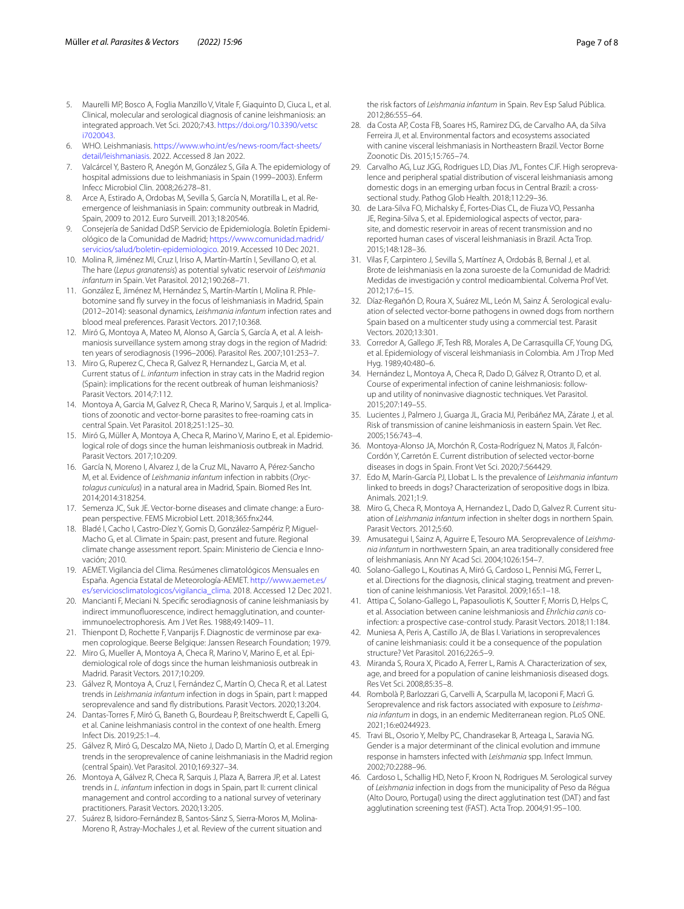- <span id="page-6-0"></span>5. Maurelli MP, Bosco A, Foglia Manzillo V, Vitale F, Giaquinto D, Ciuca L, et al. Clinical, molecular and serological diagnosis of canine leishmaniosis: an integrated approach. Vet Sci. 2020;7:43. [https://doi.org/10.3390/vetsc](https://doi.org/10.3390/vetsci7020043) [i7020043.](https://doi.org/10.3390/vetsci7020043)
- <span id="page-6-1"></span>6. WHO. Leishmaniasis. [https://www.who.int/es/news-room/fact-sheets/](https://www.who.int/es/news-room/fact-sheets/detail/leishmaniasis) [detail/leishmaniasis](https://www.who.int/es/news-room/fact-sheets/detail/leishmaniasis). 2022. Accessed 8 Jan 2022.
- <span id="page-6-2"></span>7. Valcárcel Y, Bastero R, Anegón M, González S, Gila A. The epidemiology of hospital admissions due to leishmaniasis in Spain (1999–2003). Enferm Infecc Microbiol Clin. 2008;26:278–81.
- <span id="page-6-3"></span>8. Arce A, Estirado A, Ordobas M, Sevilla S, García N, Moratilla L, et al. Reemergence of leishmaniasis in Spain: community outbreak in Madrid, Spain, 2009 to 2012. Euro Surveill. 2013;18:20546.
- <span id="page-6-4"></span>9. Consejería de Sanidad DdSP. Servicio de Epidemiología. Boletín Epidemiológico de la Comunidad de Madrid; [https://www.comunidad.madrid/](https://www.comunidad.madrid/servicios/salud/boletin-epidemiologico) [servicios/salud/boletin-epidemiologico](https://www.comunidad.madrid/servicios/salud/boletin-epidemiologico). 2019. Accessed 10 Dec 2021.
- <span id="page-6-5"></span>10. Molina R, Jiménez MI, Cruz I, Iriso A, Martín-Martín I, Sevillano O, et al. The hare (*Lepus granatensis*) as potential sylvatic reservoir of *Leishmania infantum* in Spain. Vet Parasitol. 2012;190:268–71.
- <span id="page-6-6"></span>11. González E, Jiménez M, Hernández S, Martín-Martín I, Molina R. Phlebotomine sand fy survey in the focus of leishmaniasis in Madrid, Spain (2012–2014): seasonal dynamics, *Leishmania infantum* infection rates and blood meal preferences. Parasit Vectors. 2017;10:368.
- <span id="page-6-7"></span>12. Miró G, Montoya A, Mateo M, Alonso A, García S, García A, et al. A leishmaniosis surveillance system among stray dogs in the region of Madrid: ten years of serodiagnosis (1996–2006). Parasitol Res. 2007;101:253–7.
- <span id="page-6-8"></span>13. Miro G, Ruperez C, Checa R, Galvez R, Hernandez L, Garcia M, et al. Current status of *L. infantum* infection in stray cats in the Madrid region (Spain): implications for the recent outbreak of human leishmaniosis? Parasit Vectors. 2014;7:112.
- <span id="page-6-9"></span>14. Montoya A, Garcia M, Galvez R, Checa R, Marino V, Sarquis J, et al. Implications of zoonotic and vector-borne parasites to free-roaming cats in central Spain. Vet Parasitol. 2018;251:125–30.
- <span id="page-6-10"></span>15. Miró G, Müller A, Montoya A, Checa R, Marino V, Marino E, et al. Epidemiological role of dogs since the human leishmaniosis outbreak in Madrid. Parasit Vectors. 2017;10:209.
- <span id="page-6-11"></span>16. García N, Moreno I, Alvarez J, de la Cruz ML, Navarro A, Pérez-Sancho M, et al. Evidence of *Leishmania infantum* infection in rabbits (*Oryctolagus cuniculus*) in a natural area in Madrid, Spain. Biomed Res Int. 2014;2014:318254.
- <span id="page-6-12"></span>17. Semenza JC, Suk JE. Vector-borne diseases and climate change: a European perspective. FEMS Microbiol Lett. 2018;365:fnx244.
- <span id="page-6-28"></span>18. Bladé I, Cacho I, Castro-Díez Y, Gomis D, González-Sampériz P, Miguel-Macho G, et al. Climate in Spain: past, present and future. Regional climate change assessment report. Spain: Ministerio de Ciencia e Innovación; 2010.
- <span id="page-6-13"></span>19. AEMET. Vigilancia del Clima. Resúmenes climatológicos Mensuales en España. Agencia Estatal de Meteorología-AEMET. [http://www.aemet.es/](http://www.aemet.es/es/serviciosclimatologicos/vigilancia_clima) [es/serviciosclimatologicos/vigilancia\\_clima](http://www.aemet.es/es/serviciosclimatologicos/vigilancia_clima). 2018. Accessed 12 Dec 2021.
- <span id="page-6-14"></span>20. Mancianti F, Meciani N. Specifc serodiagnosis of canine leishmaniasis by indirect immunofuorescence, indirect hemagglutination, and counterimmunoelectrophoresis. Am J Vet Res. 1988;49:1409–11.
- <span id="page-6-15"></span>21. Thienpont D, Rochette F, Vanparijs F. Diagnostic de verminose par examen coprologique. Beerse Belgique: Janssen Research Foundation; 1979.
- <span id="page-6-16"></span>22. Miro G, Mueller A, Montoya A, Checa R, Marino V, Marino E, et al. Epidemiological role of dogs since the human leishmaniosis outbreak in Madrid. Parasit Vectors. 2017;10:209.
- <span id="page-6-17"></span>23. Gálvez R, Montoya A, Cruz I, Fernández C, Martín O, Checa R, et al. Latest trends in *Leishmania infantum* infection in dogs in Spain, part I: mapped seroprevalence and sand fy distributions. Parasit Vectors. 2020;13:204.
- <span id="page-6-18"></span>24. Dantas-Torres F, Miró G, Baneth G, Bourdeau P, Breitschwerdt E, Capelli G, et al. Canine leishmaniasis control in the context of one health. Emerg Infect Dis. 2019;25:1–4.
- <span id="page-6-19"></span>25. Gálvez R, Miró G, Descalzo MA, Nieto J, Dado D, Martín O, et al. Emerging trends in the seroprevalence of canine leishmaniasis in the Madrid region (central Spain). Vet Parasitol. 2010;169:327–34.
- <span id="page-6-20"></span>26. Montoya A, Gálvez R, Checa R, Sarquis J, Plaza A, Barrera JP, et al. Latest trends in *L. infantum* infection in dogs in Spain, part II: current clinical management and control according to a national survey of veterinary practitioners. Parasit Vectors. 2020;13:205.
- <span id="page-6-21"></span>27. Suárez B, Isidoro-Fernández B, Santos-Sánz S, Sierra-Moros M, Molina-Moreno R, Astray-Mochales J, et al. Review of the current situation and
- <span id="page-6-22"></span>28. da Costa AP, Costa FB, Soares HS, Ramirez DG, de Carvalho AA, da Silva Ferreira JI, et al. Environmental factors and ecosystems associated with canine visceral leishmaniasis in Northeastern Brazil. Vector Borne Zoonotic Dis. 2015;15:765–74.
- <span id="page-6-41"></span>29. Carvalho AG, Luz JGG, Rodrigues LD, Dias JVL, Fontes CJF. High seroprevalence and peripheral spatial distribution of visceral leishmaniasis among domestic dogs in an emerging urban focus in Central Brazil: a crosssectional study. Pathog Glob Health. 2018;112:29–36.
- <span id="page-6-23"></span>30. de Lara-Silva FO, Michalsky É, Fortes-Dias CL, de Fiuza VO, Pessanha JE, Regina-Silva S, et al. Epidemiological aspects of vector, parasite, and domestic reservoir in areas of recent transmission and no reported human cases of visceral leishmaniasis in Brazil. Acta Trop. 2015;148:128–36.
- <span id="page-6-24"></span>31. Vilas F, Carpintero J, Sevilla S, Martínez A, Ordobás B, Bernal J, et al. Brote de leishmaniasis en la zona suroeste de la Comunidad de Madrid: Medidas de investigación y control medioambiental. Colvema Prof Vet. 2012;17:6–15.
- <span id="page-6-25"></span>32. Díaz-Regañón D, Roura X, Suárez ML, León M, Sainz Á. Serological evaluation of selected vector-borne pathogens in owned dogs from northern Spain based on a multicenter study using a commercial test. Parasit Vectors. 2020;13:301.
- <span id="page-6-26"></span>33. Corredor A, Gallego JF, Tesh RB, Morales A, De Carrasquilla CF, Young DG, et al. Epidemiology of visceral leishmaniasis in Colombia. Am J Trop Med Hyg. 1989;40:480–6.
- <span id="page-6-27"></span>34. Hernández L, Montoya A, Checa R, Dado D, Gálvez R, Otranto D, et al. Course of experimental infection of canine leishmaniosis: followup and utility of noninvasive diagnostic techniques. Vet Parasitol. 2015;207:149–55.
- <span id="page-6-29"></span>35. Lucientes J, Palmero J, Guarga JL, Gracia MJ, Peribáñez MA, Zárate J, et al. Risk of transmission of canine leishmaniosis in eastern Spain. Vet Rec. 2005;156:743–4.
- <span id="page-6-30"></span>36. Montoya-Alonso JA, Morchón R, Costa-Rodríguez N, Matos JI, Falcón-Cordón Y, Carretón E. Current distribution of selected vector-borne diseases in dogs in Spain. Front Vet Sci. 2020;7:564429.
- <span id="page-6-31"></span>37. Edo M, Marín-García PJ, Llobat L. Is the prevalence of *Leishmania infantum* linked to breeds in dogs? Characterization of seropositive dogs in Ibiza. Animals. 2021;1:9.
- <span id="page-6-32"></span>38. Miro G, Checa R, Montoya A, Hernandez L, Dado D, Galvez R. Current situation of *Leishmania infantum* infection in shelter dogs in northern Spain. Parasit Vectors. 2012;5:60.
- <span id="page-6-33"></span>39. Amusategui I, Sainz A, Aguirre E, Tesouro MA. Seroprevalence of *Leishmania infantum* in northwestern Spain, an area traditionally considered free of leishmaniasis. Ann NY Acad Sci. 2004;1026:154–7.
- <span id="page-6-34"></span>40. Solano-Gallego L, Koutinas A, Miró G, Cardoso L, Pennisi MG, Ferrer L, et al. Directions for the diagnosis, clinical staging, treatment and prevention of canine leishmaniosis. Vet Parasitol. 2009;165:1–18.
- <span id="page-6-35"></span>41. Attipa C, Solano-Gallego L, Papasouliotis K, Soutter F, Morris D, Helps C, et al. Association between canine leishmaniosis and *Ehrlichia canis* coinfection: a prospective case-control study. Parasit Vectors. 2018;11:184.
- <span id="page-6-36"></span>42. Muniesa A, Peris A, Castillo JA, de Blas I. Variations in seroprevalences of canine leishmaniasis: could it be a consequence of the population structure? Vet Parasitol. 2016;226:5–9.
- <span id="page-6-37"></span>43. Miranda S, Roura X, Picado A, Ferrer L, Ramis A. Characterization of sex, age, and breed for a population of canine leishmaniosis diseased dogs. Res Vet Sci. 2008;85:35–8.
- <span id="page-6-38"></span>44. Rombolà P, Barlozzari G, Carvelli A, Scarpulla M, Iacoponi F, Macrì G. Seroprevalence and risk factors associated with exposure to *Leishmania infantum* in dogs, in an endemic Mediterranean region. PLoS ONE. 2021;16:e0244923.
- <span id="page-6-39"></span>45. Travi BL, Osorio Y, Melby PC, Chandrasekar B, Arteaga L, Saravia NG. Gender is a major determinant of the clinical evolution and immune response in hamsters infected with *Leishmania* spp. Infect Immun. 2002;70:2288–96.
- <span id="page-6-40"></span>46. Cardoso L, Schallig HD, Neto F, Kroon N, Rodrigues M. Serological survey of *Leishmania* infection in dogs from the municipality of Peso da Régua (Alto Douro, Portugal) using the direct agglutination test (DAT) and fast agglutination screening test (FAST). Acta Trop. 2004;91:95–100.